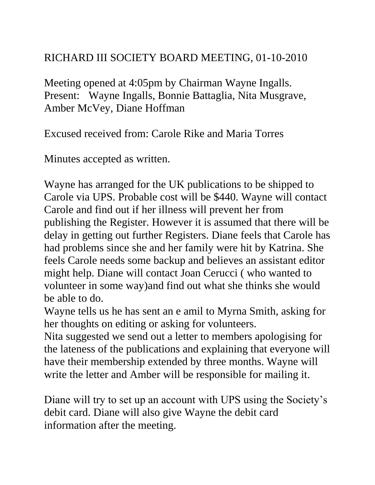## RICHARD III SOCIETY BOARD MEETING, 01-10-2010

Meeting opened at 4:05pm by Chairman Wayne Ingalls. Present: Wayne Ingalls, Bonnie Battaglia, Nita Musgrave, Amber McVey, Diane Hoffman

Excused received from: Carole Rike and Maria Torres

Minutes accepted as written.

Wayne has arranged for the UK publications to be shipped to Carole via UPS. Probable cost will be \$440. Wayne will contact Carole and find out if her illness will prevent her from publishing the Register. However it is assumed that there will be delay in getting out further Registers. Diane feels that Carole has had problems since she and her family were hit by Katrina. She feels Carole needs some backup and believes an assistant editor might help. Diane will contact Joan Cerucci ( who wanted to volunteer in some way)and find out what she thinks she would be able to do.

Wayne tells us he has sent an e amil to Myrna Smith, asking for her thoughts on editing or asking for volunteers.

Nita suggested we send out a letter to members apologising for the lateness of the publications and explaining that everyone will have their membership extended by three months. Wayne will write the letter and Amber will be responsible for mailing it.

Diane will try to set up an account with UPS using the Society's debit card. Diane will also give Wayne the debit card information after the meeting.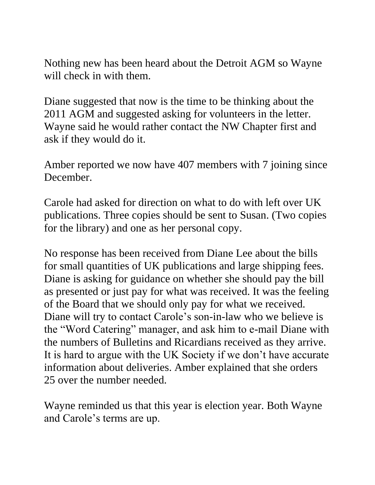Nothing new has been heard about the Detroit AGM so Wayne will check in with them.

Diane suggested that now is the time to be thinking about the 2011 AGM and suggested asking for volunteers in the letter. Wayne said he would rather contact the NW Chapter first and ask if they would do it.

Amber reported we now have 407 members with 7 joining since December.

Carole had asked for direction on what to do with left over UK publications. Three copies should be sent to Susan. (Two copies for the library) and one as her personal copy.

No response has been received from Diane Lee about the bills for small quantities of UK publications and large shipping fees. Diane is asking for guidance on whether she should pay the bill as presented or just pay for what was received. It was the feeling of the Board that we should only pay for what we received. Diane will try to contact Carole's son-in-law who we believe is the "Word Catering" manager, and ask him to e-mail Diane with the numbers of Bulletins and Ricardians received as they arrive. It is hard to argue with the UK Society if we don't have accurate information about deliveries. Amber explained that she orders 25 over the number needed.

Wayne reminded us that this year is election year. Both Wayne and Carole's terms are up.